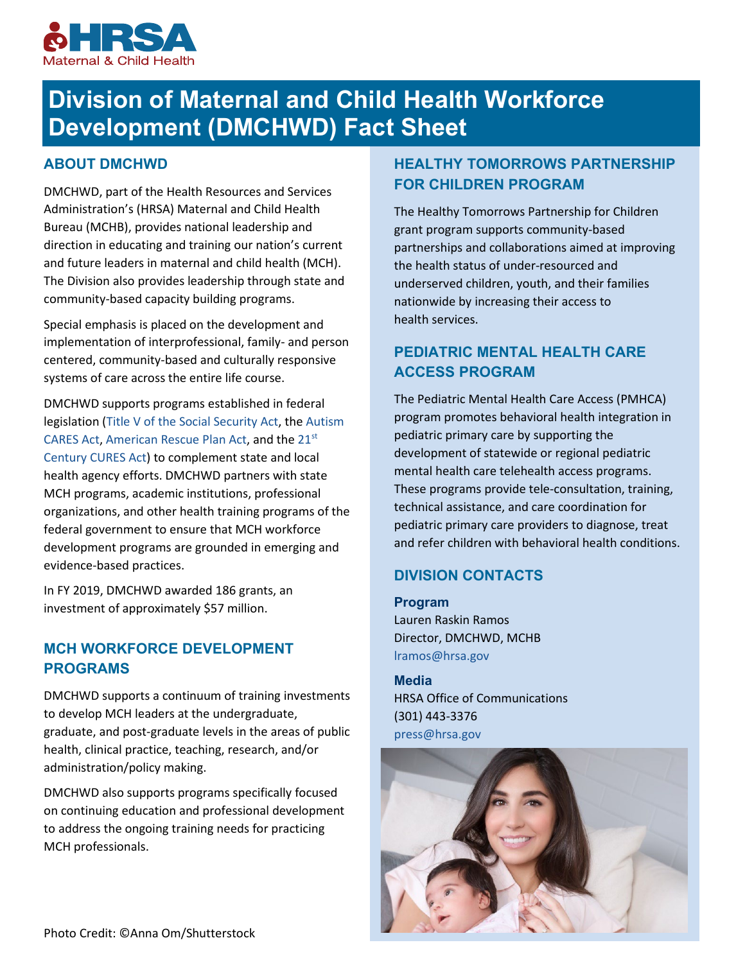

# **Division of Maternal and Child Health Workforce Development (DMCHWD) Fact Sheet**

#### **ABOUT DMCHWD**

DMCHWD, part of the Health Resources and Services Administration's (HRSA) Maternal and Child Health Bureau (MCHB), provides national leadership and direction in educating and training our nation's current and future leaders in maternal and child health (MCH). The Division also provides leadership through state and community-based capacity building programs.

Special emphasis is placed on the development and implementation of interprofessional, family- and person centered, community-based and culturally responsive systems of care across the entire life course.

DMCHWD supports programs established in federal legislation [\(Title V of the Social Security Act,](http://www.ssa.gov/OP_Home/ssact/title05/0500.htm) th[e Autism](http://www.mchb.hrsa.gov/programs/autism/index.html)  [CARES Act,](http://www.mchb.hrsa.gov/programs/autism/index.html) [American Rescue Plan Act,](https://mchb.hrsa.gov/maternal-child-health-initiatives/home-visiting/miechv-program-ta/arp-faq) and the [21st](https://www.congress.gov/114/bills/hr34/BILLS-114hr34enr.pdf) [Century CURES Act\)](https://www.congress.gov/114/bills/hr34/BILLS-114hr34enr.pdf) to complement state and local health agency efforts. DMCHWD partners with state MCH programs, academic institutions, professional organizations, and other health training programs of the federal government to ensure that MCH workforce development programs are grounded in emerging and evidence-based practices.

In FY 2019, DMCHWD awarded 186 grants, an investment of approximately \$57 million.

#### **MCH WORKFORCE DEVELOPMENT PROGRAMS**

DMCHWD supports a continuum of training investments to develop MCH leaders at the undergraduate, graduate, and post-graduate levels in the areas of public health, clinical practice, teaching, research, and/or administration/policy making.

DMCHWD also supports programs specifically focused on continuing education and professional development to address the ongoing training needs for practicing MCH professionals.

# **HEALTHY TOMORROWS PARTNERSHIP FOR CHILDREN PROGRAM**

The Healthy Tomorrows Partnership for Children grant program supports community-based partnerships and collaborations aimed at improving the health status of under-resourced and underserved children, youth, and their families nationwide by increasing their access to health services.

# **PEDIATRIC MENTAL HEALTH CARE ACCESS PROGRAM**

The Pediatric Mental Health Care Access (PMHCA) program promotes behavioral health integration in pediatric primary care by supporting the development of statewide or regional pediatric mental health care telehealth access programs. These programs provide tele-consultation, training, technical assistance, and care coordination for pediatric primary care providers to diagnose, treat and refer children with behavioral health conditions.

#### **DIVISION CONTACTS**

**Program** Lauren Raskin Ramos Director, DMCHWD, MCHB [lramos@hrsa.gov](mailto:lramos@hrsa.gov) 

**Media** HRSA Office of Communications (301) 443-3376 [press@hrsa.gov](mailto:press@hrsa.gov)